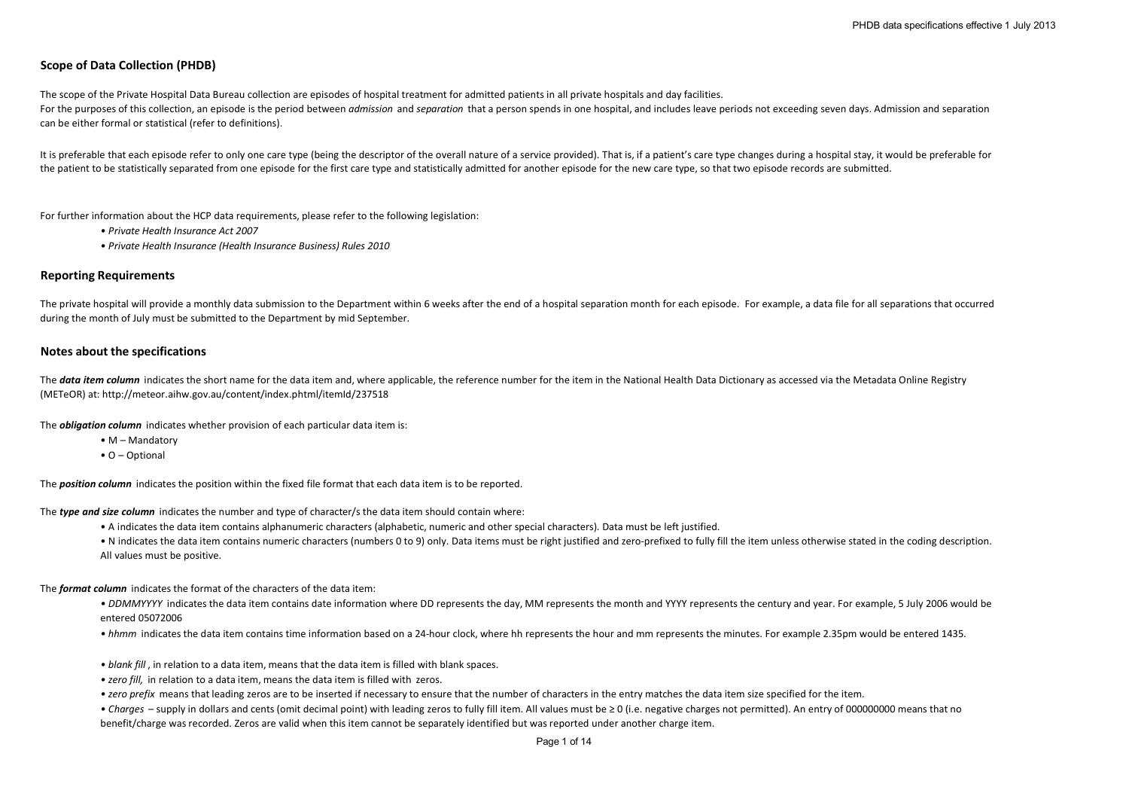# **Scope of Data Collection (PHDB)**

The scope of the Private Hospital Data Bureau collection are episodes of hospital treatment for admitted patients in all private hospitals and day facilities. For the purposes of this collection, an episode is the period between *admission* and *separation* that a person spends in one hospital, and includes leave periods not exceeding seven days. Admission and separation can be either formal or statistical (refer to definitions).

It is preferable that each episode refer to only one care type (being the descriptor of the overall nature of a service provided). That is, if a patient's care type changes during a hospital stay, it would be preferable fo the patient to be statistically separated from one episode for the first care type and statistically admitted for another episode for the new care type, so that two episode records are submitted.

For further information about the HCP data requirements, please refer to the following legislation:

- *Private Health Insurance Act 2007*
- *Private Health Insurance (Health Insurance Business) Rules 2010*

#### **Reporting Requirements**

The private hospital will provide a monthly data submission to the Department within 6 weeks after the end of a hospital separation month for each episode. For example, a data file for all separations that occurred during the month of July must be submitted to the Department by mid September.

#### **Notes about the specifications**

The **data item column** indicates the short name for the data item and, where applicable, the reference number for the item in the National Health Data Dictionary as accessed via the Metadata Online Registry (METeOR) at: http://meteor.aihw.gov.au/content/index.phtml/itemId/237518

The *obligation column* indicates whether provision of each particular data item is:

- M Mandatory
- O Optional

The *position column* indicates the position within the fixed file format that each data item is to be reported.

The *type and size column* indicates the number and type of character/s the data item should contain where:

- A indicates the data item contains alphanumeric characters (alphabetic, numeric and other special characters). Data must be left justified.
- N indicates the data item contains numeric characters (numbers 0 to 9) only. Data items must be right justified and zero-prefixed to fully fill the item unless otherwise stated in the coding description. All values must be positive.

The *format column* indicates the format of the characters of the data item:

• DDMMYYYY indicates the data item contains date information where DD represents the day, MM represents the month and YYYY represents the century and year. For example, 5 July 2006 would be entered 05072006

- *hhmm* indicates the data item contains time information based on a 24-hour clock, where hh represents the hour and mm represents the minutes. For example 2.35pm would be entered 1435.
- *blank fill* , in relation to a data item, means that the data item is filled with blank spaces.
- *zero fill,* in relation to a data item, means the data item is filled with zeros.
- *zero prefix* means that leading zeros are to be inserted if necessary to ensure that the number of characters in the entry matches the data item size specified for the item.
- *Charges*  supply in dollars and cents (omit decimal point) with leading zeros to fully fill item. All values must be ≥ 0 (i.e. negative charges not permitted). An entry of 000000000 means that no benefit/charge was recorded. Zeros are valid when this item cannot be separately identified but was reported under another charge item.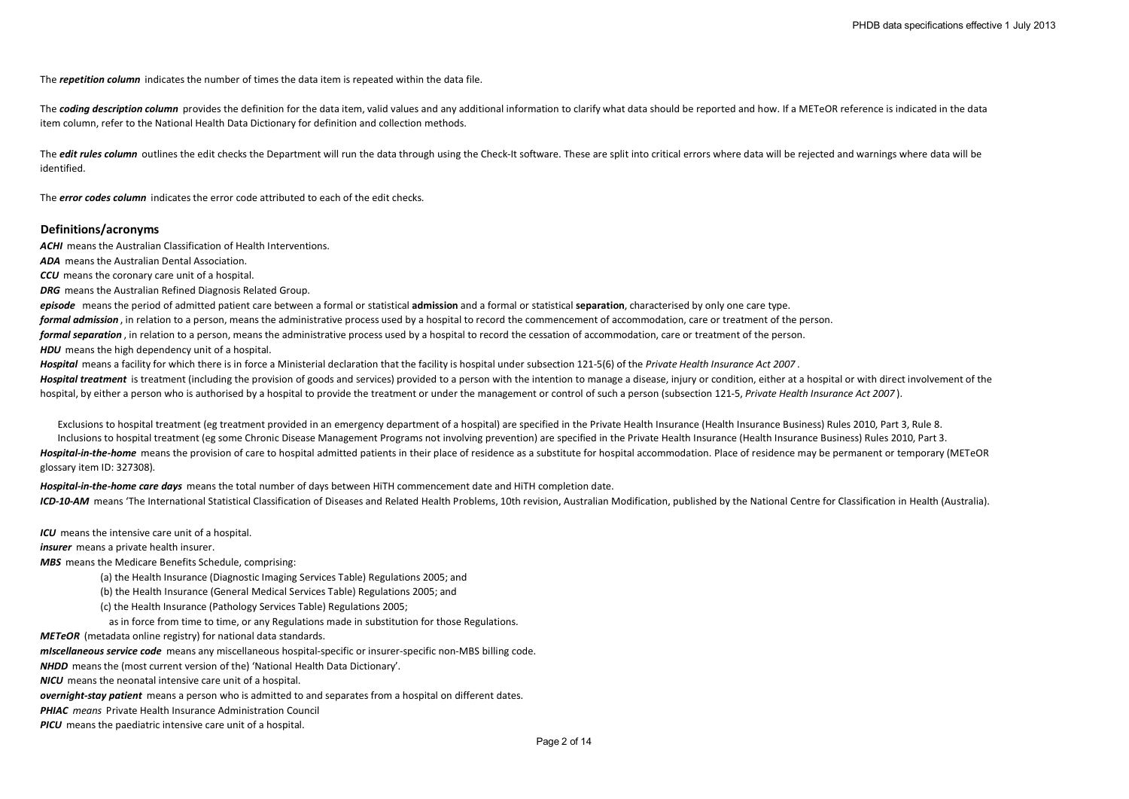The *repetition column* indicates the number of times the data item is repeated within the data file.

The **coding description column** provides the definition for the data item, valid values and any additional information to clarify what data should be reported and how. If a METeOR reference is indicated in the data item column, refer to the National Health Data Dictionary for definition and collection methods.

The *edit rules column* outlines the edit checks the Department will run the data through using the Check-It software. These are split into critical errors where data will be rejected and warnings where data will be identified.

The *error codes column* indicates the error code attributed to each of the edit checks.

### **Definitions/acronyms**

**ACHI** means the Australian Classification of Health Interventions.

*ADA* means the Australian Dental Association.

*CCU* means the coronary care unit of a hospital.

*DRG* means the Australian Refined Diagnosis Related Group.

*episode* means the period of admitted patient care between a formal or statistical **admission** and a formal or statistical **separation**, characterised by only one care type.

*formal admission* , in relation to a person, means the administrative process used by a hospital to record the commencement of accommodation, care or treatment of the person.

*formal separation* , in relation to a person, means the administrative process used by a hospital to record the cessation of accommodation, care or treatment of the person.

**HDU** means the high dependency unit of a hospital.

*Hospital* means a facility for which there is in force a Ministerial declaration that the facility is hospital under subsection 121-5(6) of the *Private Health Insurance Act 2007* .

Hospital treatment is treatment (including the provision of goods and services) provided to a person with the intention to manage a disease, injury or condition, either at a hospital or with direct involvement of the hospital, by either a person who is authorised by a hospital to provide the treatment or under the management or control of such a person (subsection 121-5, *Private Health Insurance Act 2007* ).

Exclusions to hospital treatment (eg treatment provided in an emergency department of a hospital) are specified in the Private Health Insurance (Health Insurance Business) Rules 2010, Part 3, Rule 8. Inclusions to hospital treatment (eg some Chronic Disease Management Programs not involving prevention) are specified in the Private Health Insurance (Health Insurance Business) Rules 2010, Part 3. Hospital-in-the-home means the provision of care to hospital admitted patients in their place of residence as a substitute for hospital accommodation. Place of residence may be permanent or temporary (METeOR glossary item ID: 327308).

*Hospital-in-the-home care days* means the total number of days between HiTH commencement date and HiTH completion date. ICD-10-AM means 'The International Statistical Classification of Diseases and Related Health Problems, 10th revision, Australian Modification, published by the National Centre for Classification in Health (Australia).

*ICU* means the intensive care unit of a hospital.

*insurer* means a private health insurer.

*MBS* means the Medicare Benefits Schedule, comprising:

(a) the Health Insurance (Diagnostic Imaging Services Table) Regulations 2005; and

(b) the Health Insurance (General Medical Services Table) Regulations 2005; and

(c) the Health Insurance (Pathology Services Table) Regulations 2005;

as in force from time to time, or any Regulations made in substitution for those Regulations.

*METeOR* (metadata online registry) for national data standards.

*mIscellaneous service code* means any miscellaneous hospital-specific or insurer-specific non-MBS billing code.

*NHDD* means the (most current version of the) 'National Health Data Dictionary'.

*NICU* means the neonatal intensive care unit of a hospital.

*overnight-stay patient* means a person who is admitted to and separates from a hospital on different dates.

*PHIAC means* Private Health Insurance Administration Council

*PICU* means the paediatric intensive care unit of a hospital.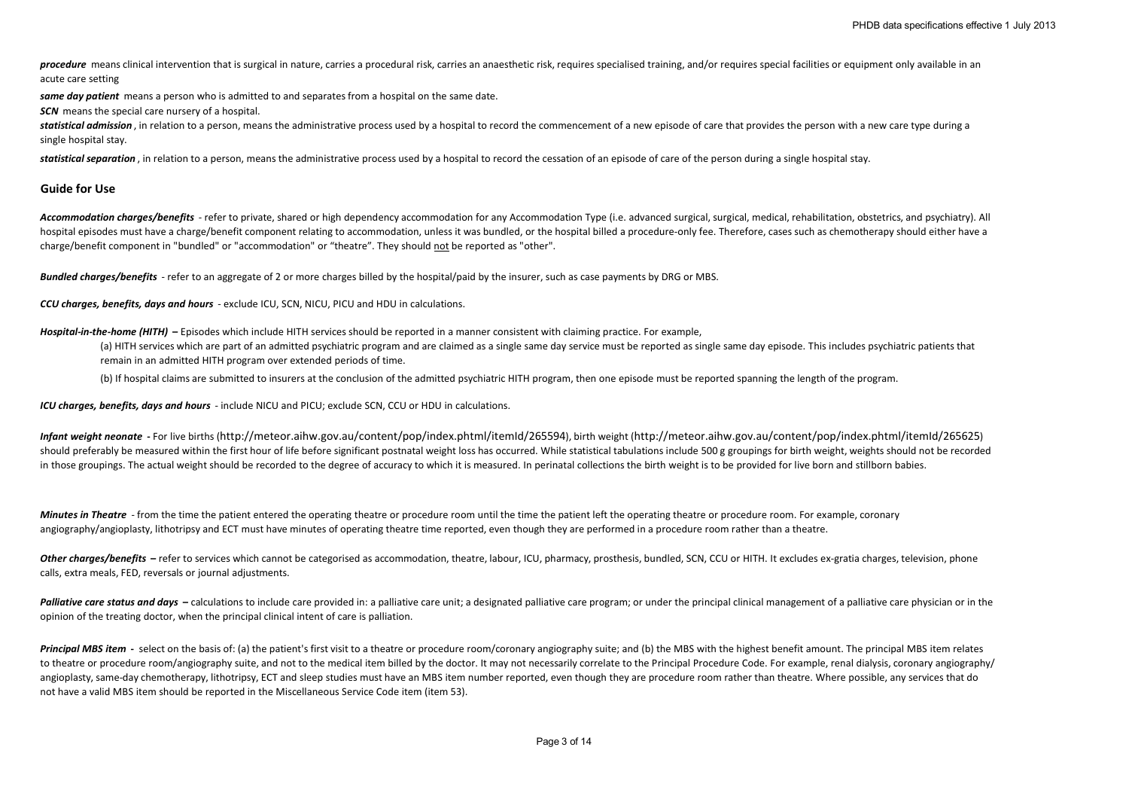procedure means clinical intervention that is surgical in nature, carries a procedural risk, carries an anaesthetic risk, requires specialised training, and/or requires special facilities or equipment only available in an acute care setting

same day patient means a person who is admitted to and separates from a hospital on the same date.

**SCN** means the special care nursery of a hospital.

statistical admission, in relation to a person, means the administrative process used by a hospital to record the commencement of a new episode of care that provides the person with a new care type during a single hospital stay.

statistical separation, in relation to a person, means the administrative process used by a hospital to record the cessation of an episode of care of the person during a single hospital stay.

## **Guide for Use**

*Accommodation charges/benefits* - refer to private, shared or high dependency accommodation for any Accommodation Type (i.e. advanced surgical, surgical, medical, rehabilitation, obstetrics, and psychiatry). All hospital episodes must have a charge/benefit component relating to accommodation, unless it was bundled, or the hospital billed a procedure-only fee. Therefore, cases such as chemotherapy should either have a charge/benefit component in "bundled" or "accommodation" or "theatre". They should not be reported as "other".

*Bundled charges/benefits* - refer to an aggregate of 2 or more charges billed by the hospital/paid by the insurer, such as case payments by DRG or MBS.

*CCU charges, benefits, days and hours* - exclude ICU, SCN, NICU, PICU and HDU in calculations.

*Hospital-in-the-home (HITH)* **–** Episodes which include HITH services should be reported in a manner consistent with claiming practice. For example,

(a) HITH services which are part of an admitted psychiatric program and are claimed as a single same day service must be reported as single same day episode. This includes psychiatric patients that remain in an admitted HITH program over extended periods of time.

(b) If hospital claims are submitted to insurers at the conclusion of the admitted psychiatric HITH program, then one episode must be reported spanning the length of the program.

*ICU charges, benefits, days and hours* - include NICU and PICU; exclude SCN, CCU or HDU in calculations.

*Infant weight neonate* **-** For live births (http://meteor.aihw.gov.au/content/pop/index.phtml/itemId/265594), birth weight (http://meteor.aihw.gov.au/content/pop/index.phtml/itemId/265625) should preferably be measured within the first hour of life before significant postnatal weight loss has occurred. While statistical tabulations include 500 g groupings for birth weight, weights should not be recorded in those groupings. The actual weight should be recorded to the degree of accuracy to which it is measured. In perinatal collections the birth weight is to be provided for live born and stillborn babies.

*Minutes in Theatre* - from the time the patient entered the operating theatre or procedure room until the time the patient left the operating theatre or procedure room. For example, coronary angiography/angioplasty, lithotripsy and ECT must have minutes of operating theatre time reported, even though they are performed in a procedure room rather than a theatre.

Other charges/benefits – refer to services which cannot be categorised as accommodation, theatre, labour, ICU, pharmacy, prosthesis, bundled, SCN, CCU or HITH. It excludes ex-gratia charges, television, phone calls, extra meals, FED, reversals or journal adjustments.

Palliative care status and days - calculations to include care provided in: a palliative care unit; a designated palliative care program; or under the principal clinical management of a palliative care physician or in the opinion of the treating doctor, when the principal clinical intent of care is palliation.

Principal MBS item - select on the basis of: (a) the patient's first visit to a theatre or procedure room/coronary angiography suite; and (b) the MBS with the highest benefit amount. The principal MBS item relates to theatre or procedure room/angiography suite, and not to the medical item billed by the doctor. It may not necessarily correlate to the Principal Procedure Code. For example, renal dialysis, coronary angiography/ angioplasty, same-day chemotherapy, lithotripsy, ECT and sleep studies must have an MBS item number reported, even though they are procedure room rather than theatre. Where possible, any services that do not have a valid MBS item should be reported in the Miscellaneous Service Code item (item 53).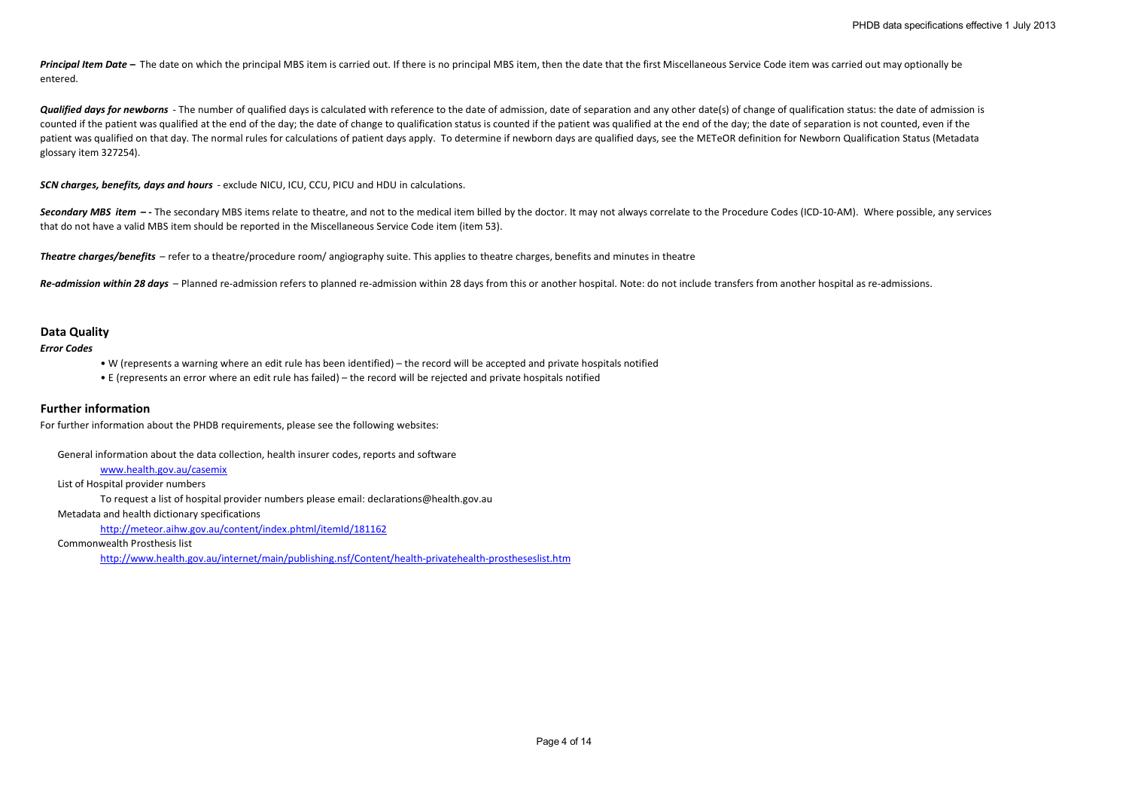Principal Item Date – The date on which the principal MBS item is carried out. If there is no principal MBS item, then the date that the first Miscellaneous Service Code item was carried out may optionally be entered.

**Qualified days for newborns** - The number of qualified days is calculated with reference to the date of admission, date of separation and any other date(s) of change of qualification status: the date of admission is counted if the patient was qualified at the end of the day; the date of change to qualification status is counted if the patient was qualified at the end of the day; the date of separation is not counted, even if the patient was qualified on that day. The normal rules for calculations of patient days apply. To determine if newborn days are qualified days, see the METeOR definition for Newborn Qualification Status (Metadata glossary item 327254).

*SCN charges, benefits, days and hours* - exclude NICU, ICU, CCU, PICU and HDU in calculations.

Secondary MBS item -- The secondary MBS items relate to theatre, and not to the medical item billed by the doctor. It may not always correlate to the Procedure Codes (ICD-10-AM). Where possible, any services that do not have a valid MBS item should be reported in the Miscellaneous Service Code item (item 53).

*Theatre charges/benefits* – refer to a theatre/procedure room/ angiography suite. This applies to theatre charges, benefits and minutes in theatre

*Re-admission within 28 days* – Planned re-admission refers to planned re-admission within 28 days from this or another hospital. Note: do not include transfers from another hospital as re-admissions.

### **Data Quality**

*Error Codes*

• W (represents a warning where an edit rule has been identified) – the record will be accepted and private hospitals notified

• E (represents an error where an edit rule has failed) – the record will be rejected and private hospitals notified

# **Further information**

For further information about the PHDB requirements, please see the following websites:

General information about the data collection, health insurer codes, reports and software

### www.health.gov.au/casemix

List of Hospital provider numbers

To request a list of hospital provider numbers please email: declarations@health.gov.au

Metadata and health dictionary specifications

http://meteor.aihw.gov.au/content/index.phtml/itemId/181162

Commonwealth Prosthesis list

http://www.health.gov.au/internet/main/publishing.nsf/Content/health-privatehealth-prostheseslist.htm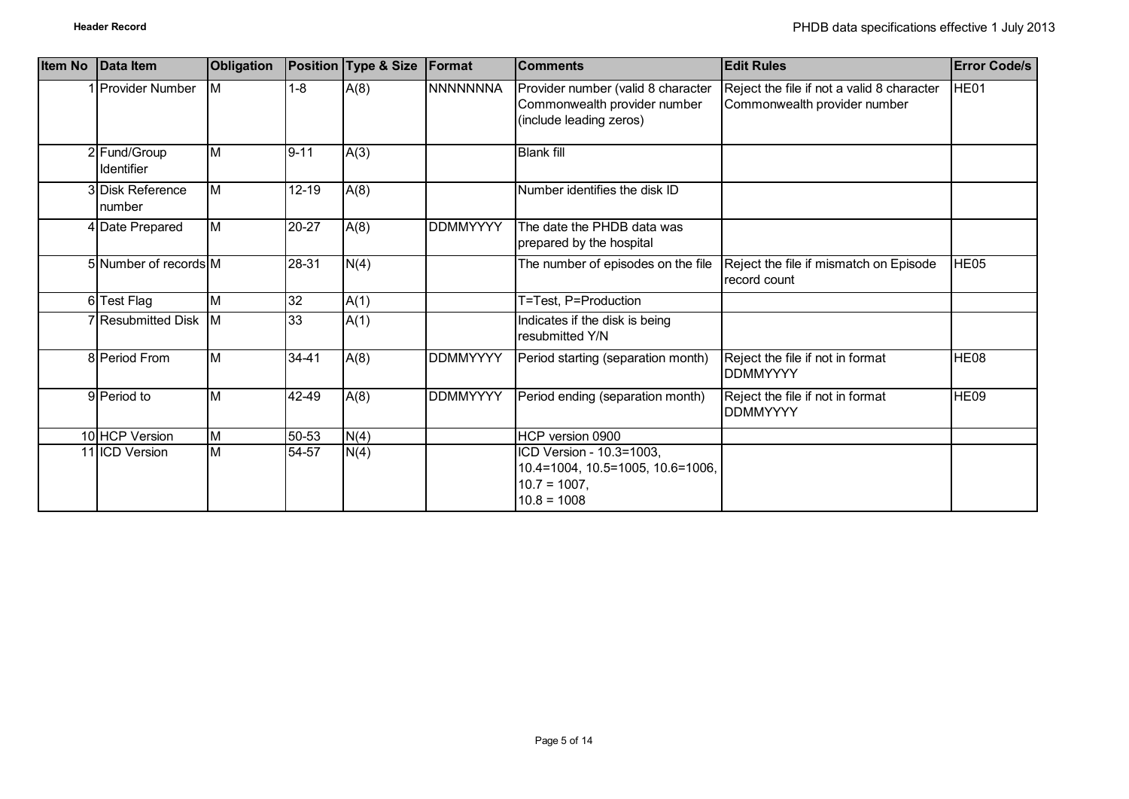| <b>Item No</b> | Data Item                  | Obligation              |                 | Position Type & Size | Format          | <b>Comments</b>                                                                                  | <b>Edit Rules</b>                                                          | Error Code/s     |
|----------------|----------------------------|-------------------------|-----------------|----------------------|-----------------|--------------------------------------------------------------------------------------------------|----------------------------------------------------------------------------|------------------|
|                | <b>Provider Number</b>     | <b>IM</b>               | $1 - 8$         | A(8)                 | <b>NNNNNNNA</b> | Provider number (valid 8 character<br>Commonwealth provider number<br>(include leading zeros)    | Reject the file if not a valid 8 character<br>Commonwealth provider number | HE01             |
|                | 2 Fund/Group<br>Identifier | ΙM                      | $9 - 11$        | A(3)                 |                 | <b>Blank fill</b>                                                                                |                                                                            |                  |
|                | 3 Disk Reference<br>number | ΙM                      | $12 - 19$       | A(8)                 |                 | Number identifies the disk ID                                                                    |                                                                            |                  |
|                | 4 Date Prepared            | M                       | 20-27           | A(8)                 | <b>DDMMYYYY</b> | The date the PHDB data was<br>prepared by the hospital                                           |                                                                            |                  |
|                | 5 Number of records M      |                         | 28-31           | N(4)                 |                 | The number of episodes on the file                                                               | Reject the file if mismatch on Episode<br>record count                     | HE05             |
|                | 6 Test Flag                | M                       | $\overline{32}$ | A(1)                 |                 | T=Test, P=Production                                                                             |                                                                            |                  |
|                | 7 Resubmitted Disk M       |                         | $\overline{33}$ | A(1)                 |                 | Indicates if the disk is being<br>resubmitted Y/N                                                |                                                                            |                  |
|                | 8 Period From              | ΙM                      | $34 - 41$       | A(8)                 | <b>DDMMYYYY</b> | Period starting (separation month)                                                               | Reject the file if not in format<br><b>DDMMYYYY</b>                        | HE <sub>08</sub> |
|                | 9 Period to                | ΙM                      | 42-49           | A(8)                 | <b>DDMMYYYY</b> | Period ending (separation month)                                                                 | Reject the file if not in format<br><b>DDMMYYYY</b>                        | <b>HE09</b>      |
|                | 10 HCP Version             | M                       | 50-53           | N(4)                 |                 | HCP version 0900                                                                                 |                                                                            |                  |
|                | 11 ICD Version             | $\overline{\mathsf{M}}$ | 54-57           | N(4)                 |                 | ICD Version - 10.3=1003,<br>10.4=1004, 10.5=1005, 10.6=1006,<br>$10.7 = 1007$ ,<br>$10.8 = 1008$ |                                                                            |                  |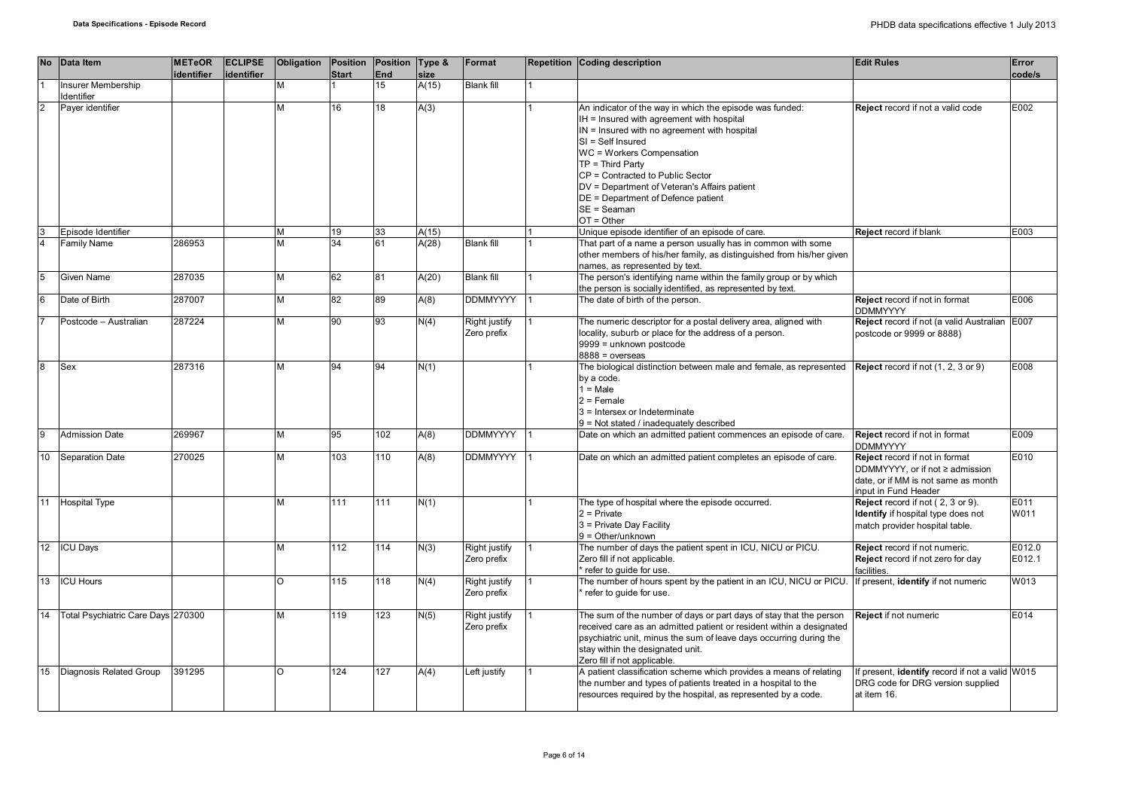|                | No Data Item                            | <b>METeOR</b><br>identifier | <b>ECLIPSE</b><br>identifier | Obligation | <b>Start</b>    | Position Position Type &<br>End | size  | Format                       | Repetition Coding description                                                                                                                                                                                                                                                                                                                                                              | <b>Edit Rules</b>                                                                                                               | Error<br>code/s  |
|----------------|-----------------------------------------|-----------------------------|------------------------------|------------|-----------------|---------------------------------|-------|------------------------------|--------------------------------------------------------------------------------------------------------------------------------------------------------------------------------------------------------------------------------------------------------------------------------------------------------------------------------------------------------------------------------------------|---------------------------------------------------------------------------------------------------------------------------------|------------------|
|                | <b>Insurer Membership</b><br>Identifier |                             |                              | м          |                 | 15                              | A(15) | <b>Blank fill</b>            |                                                                                                                                                                                                                                                                                                                                                                                            |                                                                                                                                 |                  |
| $\overline{2}$ | Payer identifier                        |                             |                              | м          | 16              | 18                              | A(3)  |                              | An indicator of the way in which the episode was funded:<br>IH = Insured with agreement with hospital<br>IN = Insured with no agreement with hospital<br>$SI = Self$ Insured<br>WC = Workers Compensation<br>$TP = Third Party$<br>CP = Contracted to Public Sector<br>DV = Department of Veteran's Affairs patient<br>DE = Department of Defence patient<br>$SE = Seaman$<br>$OT = Other$ | Reject record if not a valid code                                                                                               | E002             |
| $\frac{3}{4}$  | Episode Identifier                      |                             |                              | м          | 19              | 33                              | A(15) |                              | Unique episode identifier of an episode of care.                                                                                                                                                                                                                                                                                                                                           | Reject record if blank                                                                                                          | E003             |
|                | Family Name                             | 286953                      |                              | M          | $\overline{34}$ | 61                              | A(28) | <b>Blank fill</b>            | That part of a name a person usually has in common with some<br>other members of his/her family, as distinguished from his/her given<br>names, as represented by text.                                                                                                                                                                                                                     |                                                                                                                                 |                  |
| 5              | Given Name                              | 287035                      |                              | М          | 62              | 81                              | A(20) | <b>Blank fill</b>            | The person's identifying name within the family group or by which<br>the person is socially identified, as represented by text.                                                                                                                                                                                                                                                            |                                                                                                                                 |                  |
| 6              | Date of Birth                           | 287007                      |                              | м          | 82              | 89                              | A(8)  | <b>DDMMYYYY</b>              | The date of birth of the person.                                                                                                                                                                                                                                                                                                                                                           | Reject record if not in format<br><b>DDMMYYYY</b>                                                                               | E006             |
|                | Postcode - Australian                   | 287224                      |                              | М          | 90              | 93                              | N(4)  | Right justify<br>Zero prefix | The numeric descriptor for a postal delivery area, aligned with<br>locality, suburb or place for the address of a person.<br>9999 = unknown postcode<br>$8888 = 0$ verseas                                                                                                                                                                                                                 | Reject record if not (a valid Australian<br>postcode or 9999 or 8888)                                                           | E007             |
| 8              | Sex                                     | 287316                      |                              | м          | 94              | 94                              | N(1)  |                              | The biological distinction between male and female, as represented<br>by a code.<br>$1 = Male$<br>$2$ = Female<br>3 = Intersex or Indeterminate<br>9 = Not stated / inadequately described                                                                                                                                                                                                 | Reject record if not (1, 2, 3 or 9)                                                                                             | E008             |
| $\overline{9}$ | <b>Admission Date</b>                   | 269967                      |                              | М          | 95              | 102                             | A(8)  | <b>DDMMYYYY</b>              | Date on which an admitted patient commences an episode of care.                                                                                                                                                                                                                                                                                                                            | Reject record if not in format<br><b>DDMMYYYY</b>                                                                               | E009             |
| 10             | Separation Date                         | 270025                      |                              | M          | 103             | 110                             | A(8)  | <b>DDMMYYYY</b>              | Date on which an admitted patient completes an episode of care.                                                                                                                                                                                                                                                                                                                            | Reject record if not in format<br>DDMMYYYY, or if not ≥ admission<br>date, or if MM is not same as month<br>nput in Fund Header | E010             |
| 11             | <b>Hospital Type</b>                    |                             |                              | м          | 111             | 111                             | N(1)  |                              | The type of hospital where the episode occurred.<br>$2$ = Private<br>3 = Private Day Facility<br>$9 = Other/unknown$                                                                                                                                                                                                                                                                       | Reject record if not (2, 3 or 9).<br>Identify if hospital type does not<br>match provider hospital table.                       | E011<br>W011     |
|                | 12 ICU Days                             |                             |                              | М          | 112             | 114                             | N(3)  | Right justify<br>Zero prefix | The number of days the patient spent in ICU, NICU or PICU.<br>Zero fill if not applicable.<br>* refer to guide for use.                                                                                                                                                                                                                                                                    | Reject record if not numeric.<br>Reject record if not zero for day<br>facilities.                                               | E012.0<br>E012.1 |
| 13             | <b>ICU Hours</b>                        |                             |                              | $\Omega$   | 115             | 118                             | N(4)  | Right justify<br>Zero prefix | The number of hours spent by the patient in an ICU, NICU or PICU.<br>refer to guide for use.                                                                                                                                                                                                                                                                                               | f present, identify if not numeric                                                                                              | W013             |
| 14             | Total Psychiatric Care Days 270300      |                             |                              | M          | 119             | 123                             | N(5)  | Right justify<br>Zero prefix | The sum of the number of days or part days of stay that the person<br>received care as an admitted patient or resident within a designated<br>psychiatric unit, minus the sum of leave days occurring during the<br>stay within the designated unit.<br>Zero fill if not applicable.                                                                                                       | <b>Reject</b> if not numeric                                                                                                    | E014             |
| 15             | Diagnosis Related Group                 | 391295                      |                              | $\Omega$   | 124             | 127                             | A(4)  | Left justify                 | A patient classification scheme which provides a means of relating<br>the number and types of patients treated in a hospital to the<br>resources required by the hospital, as represented by a code.                                                                                                                                                                                       | f present, identify record if not a valid W015<br>DRG code for DRG version supplied<br>at item 16.                              |                  |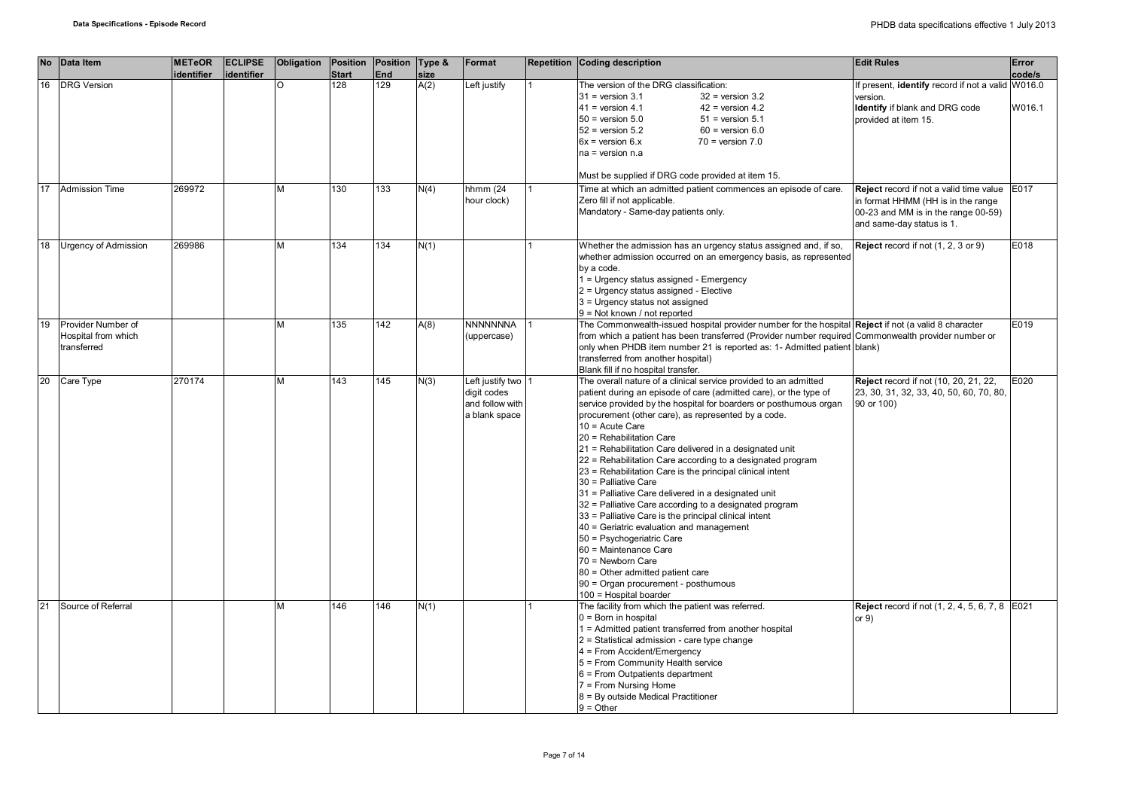|    | No Data Item                                             | <b>METeOR</b><br>identifier | <b>ECLIPSE</b><br>identifier | Obligation | Position Position Type &<br><b>Start</b> | <b>End</b> | size | Format                                                              | Repetition Coding description                                                                                                                                                                                                                                                                                                                                                                                                                                                                                                                                                                                                                                                                                                                                                                                                                                                                                                          | <b>Edit Rules</b>                                                                                                                                 | Error<br>code/s |
|----|----------------------------------------------------------|-----------------------------|------------------------------|------------|------------------------------------------|------------|------|---------------------------------------------------------------------|----------------------------------------------------------------------------------------------------------------------------------------------------------------------------------------------------------------------------------------------------------------------------------------------------------------------------------------------------------------------------------------------------------------------------------------------------------------------------------------------------------------------------------------------------------------------------------------------------------------------------------------------------------------------------------------------------------------------------------------------------------------------------------------------------------------------------------------------------------------------------------------------------------------------------------------|---------------------------------------------------------------------------------------------------------------------------------------------------|-----------------|
| 16 | <b>DRG Version</b>                                       |                             |                              | O          | 128                                      | 129        | A(2) | Left justify                                                        | The version of the DRG classification:<br>$31$ = version $3.1$<br>$32$ = version $3.2$<br>$41$ = version 4.1<br>$42$ = version 4.2<br>$50$ = version $5.0$<br>$51$ = version $5.1$<br>$52$ = version $5.2$<br>$60$ = version $6.0$<br>$6x =$ version $6.x$<br>$70$ = version $7.0$<br>na = version n.a<br>Must be supplied if DRG code provided at item 15.                                                                                                                                                                                                                                                                                                                                                                                                                                                                                                                                                                            | f present, identify record if not a valid W016.0<br>version.<br>Identify if blank and DRG code<br>provided at item 15.                            | W016.1          |
| 17 | <b>Admission Time</b>                                    | 269972                      |                              | м          | 130                                      | 133        | N(4) | hhmm $(24)$<br>hour clock)                                          | Time at which an admitted patient commences an episode of care.<br>Zero fill if not applicable.<br>Mandatory - Same-day patients only.                                                                                                                                                                                                                                                                                                                                                                                                                                                                                                                                                                                                                                                                                                                                                                                                 | Reject record if not a valid time value<br>in format HHMM (HH is in the range<br>00-23 and MM is in the range 00-59)<br>and same-day status is 1. | E017            |
| 18 | Urgency of Admission                                     | 269986                      |                              | м          | 134                                      | 134        | N(1) |                                                                     | Whether the admission has an urgency status assigned and, if so,<br>whether admission occurred on an emergency basis, as represented<br>by a code.<br>1 = Urgency status assigned - Emergency<br>2 = Urgency status assigned - Elective<br>3 = Urgency status not assigned<br>9 = Not known / not reported                                                                                                                                                                                                                                                                                                                                                                                                                                                                                                                                                                                                                             | Reject record if not (1, 2, 3 or 9)                                                                                                               | E018            |
| 19 | Provider Number of<br>Hospital from which<br>transferred |                             |                              | м          | 135                                      | 142        | A(8) | <b>NNNNNNNA</b><br>(uppercase)                                      | The Commonwealth-issued hospital provider number for the hospital Reject if not (a valid 8 character<br>from which a patient has been transferred (Provider number required Commonwealth provider number or<br>only when PHDB item number 21 is reported as: 1- Admitted patient blank)<br>transferred from another hospital)<br>Blank fill if no hospital transfer.                                                                                                                                                                                                                                                                                                                                                                                                                                                                                                                                                                   |                                                                                                                                                   | E019            |
| 20 | Care Type                                                | 270174                      |                              | м          | 143                                      | 145        | N(3) | Left justify two<br>digit codes<br>and follow with<br>a blank space | The overall nature of a clinical service provided to an admitted<br>patient during an episode of care (admitted care), or the type of<br>service provided by the hospital for boarders or posthumous organ<br>procurement (other care), as represented by a code.<br>$10 =$ Acute Care<br>20 = Rehabilitation Care<br>21 = Rehabilitation Care delivered in a designated unit<br>22 = Rehabilitation Care according to a designated program<br>23 = Rehabilitation Care is the principal clinical intent<br>30 = Palliative Care<br>31 = Palliative Care delivered in a designated unit<br>32 = Palliative Care according to a designated program<br>33 = Palliative Care is the principal clinical intent<br>40 = Geriatric evaluation and management<br>50 = Psychogeriatric Care<br>60 = Maintenance Care<br>70 = Newborn Care<br>80 = Other admitted patient care<br>90 = Organ procurement - posthumous<br>100 = Hospital boarder | <b>Reject</b> record if not (10, 20, 21, 22,<br>23, 30, 31, 32, 33, 40, 50, 60, 70, 80,<br>90 or 100)                                             | E020            |
| 21 | Source of Referral                                       |                             |                              | м          | 146                                      | 146        | N(1) |                                                                     | The facility from which the patient was referred.<br>$0 =$ Born in hospital<br>1 = Admitted patient transferred from another hospital<br>2 = Statistical admission - care type change<br>4 = From Accident/Emergency<br>5 = From Community Health service<br>$6$ = From Outpatients department<br>7 = From Nursing Home<br>8 = By outside Medical Practitioner<br>$9 = Other$                                                                                                                                                                                                                                                                                                                                                                                                                                                                                                                                                          | <b>Reject</b> record if not (1, 2, 4, 5, 6, 7, 8 E021<br>or $9)$                                                                                  |                 |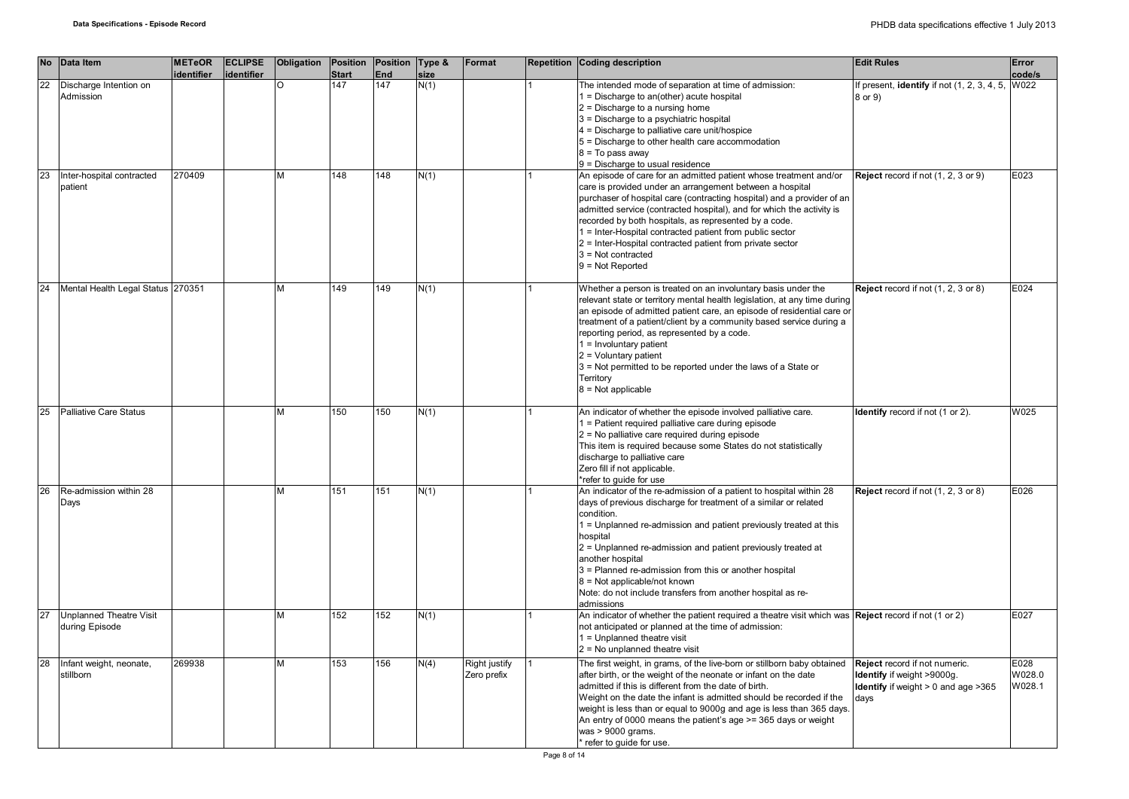|    | No Data Item                                     | <b>METeOR</b><br>identifier | <b>ECLIPSE</b><br>identifier | Obligation | Position<br><b>Start</b> | Position<br>End | Type &<br>size | Format                       | Repetition Coding description                                                                                                                                                                                                                                                                                                                                                                                                                                                                                                                        | <b>Edit Rules</b>                                                                                                     | Error<br>code/s          |
|----|--------------------------------------------------|-----------------------------|------------------------------|------------|--------------------------|-----------------|----------------|------------------------------|------------------------------------------------------------------------------------------------------------------------------------------------------------------------------------------------------------------------------------------------------------------------------------------------------------------------------------------------------------------------------------------------------------------------------------------------------------------------------------------------------------------------------------------------------|-----------------------------------------------------------------------------------------------------------------------|--------------------------|
| 22 | Discharge Intention on                           |                             |                              | $\circ$    | 147                      | 147             | N(1)           |                              | The intended mode of separation at time of admission:                                                                                                                                                                                                                                                                                                                                                                                                                                                                                                | If present, identify if not (1, 2, 3, 4, 5,                                                                           | W022                     |
|    | Admission                                        |                             |                              |            |                          |                 |                |                              | $1 =$ Discharge to an(other) acute hospital<br>$2$ = Discharge to a nursing home<br>3 = Discharge to a psychiatric hospital<br>$4$ = Discharge to palliative care unit/hospice<br>5 = Discharge to other health care accommodation<br>$8 = To pass away$                                                                                                                                                                                                                                                                                             | 8 or 9)                                                                                                               |                          |
| 23 | Inter-hospital contracted<br>patient             | 270409                      |                              | M          | 148                      | 148             | N(1)           |                              | 9 = Discharge to usual residence<br>An episode of care for an admitted patient whose treatment and/or<br>care is provided under an arrangement between a hospital<br>purchaser of hospital care (contracting hospital) and a provider of an<br>admitted service (contracted hospital), and for which the activity is<br>recorded by both hospitals, as represented by a code.<br>1 = Inter-Hospital contracted patient from public sector<br>2 = Inter-Hospital contracted patient from private sector<br>$3$ = Not contracted<br>$9 = Not Reported$ | <b>Reject</b> record if not (1, 2, 3 or 9)                                                                            | E023                     |
| 24 | Mental Health Legal Status 270351                |                             |                              | M          | 149                      | 149             | N(1)           |                              | Whether a person is treated on an involuntary basis under the<br>relevant state or territory mental health legislation, at any time during<br>an episode of admitted patient care, an episode of residential care or<br>treatment of a patient/client by a community based service during a<br>reporting period, as represented by a code.<br>$1 =$ Involuntary patient<br>$2 =$ Voluntary patient<br>3 = Not permitted to be reported under the laws of a State or<br>Territory<br>$8 = Not applicable$                                             | Reject record if not (1, 2, 3 or 8)                                                                                   | E024                     |
| 25 | <b>Palliative Care Status</b>                    |                             |                              | M          | 150                      | 150             | N(1)           |                              | An indicator of whether the episode involved palliative care.<br>1 = Patient required palliative care during episode<br>2 = No palliative care required during episode<br>This item is required because some States do not statistically<br>discharge to palliative care<br>Zero fill if not applicable.<br>*refer to quide for use                                                                                                                                                                                                                  | Identify record if not (1 or 2).                                                                                      | W025                     |
| 26 | Re-admission within 28<br>Days                   |                             |                              | M          | 151                      | 151             | N(1)           |                              | An indicator of the re-admission of a patient to hospital within 28<br>days of previous discharge for treatment of a similar or related<br>condition.<br>1 = Unplanned re-admission and patient previously treated at this<br>hospital<br>2 = Unplanned re-admission and patient previously treated at<br>another hospital<br>3 = Planned re-admission from this or another hospital<br>8 = Not applicable/not known<br>Note: do not include transfers from another hospital as re-<br>admissions                                                    | Reject record if not (1, 2, 3 or 8)                                                                                   | E026                     |
| 27 | <b>Unplanned Theatre Visit</b><br>during Episode |                             |                              | M          | 152                      | 152             | N(1)           |                              | An indicator of whether the patient required a theatre visit which was Reject record if not (1 or 2)<br>not anticipated or planned at the time of admission:<br>1 = Unplanned theatre visit<br>$2$ = No unplanned theatre visit                                                                                                                                                                                                                                                                                                                      |                                                                                                                       | E027                     |
| 28 | Infant weight, neonate,<br>stillborn             | 269938                      |                              | M          | 153                      | 156             | N(4)           | Right justify<br>Zero prefix | The first weight, in grams, of the live-born or stillborn baby obtained<br>after birth, or the weight of the neonate or infant on the date<br>admitted if this is different from the date of birth.<br>Weight on the date the infant is admitted should be recorded if the<br>weight is less than or equal to 9000g and age is less than 365 days.<br>An entry of 0000 means the patient's age >= 365 days or weight<br>was > 9000 grams.<br>* refer to guide for use.                                                                               | Reject record if not numeric.<br>Identify if weight >9000g.<br><b>Identify</b> if weight $> 0$ and age $>365$<br>days | E028<br>W028.0<br>W028.1 |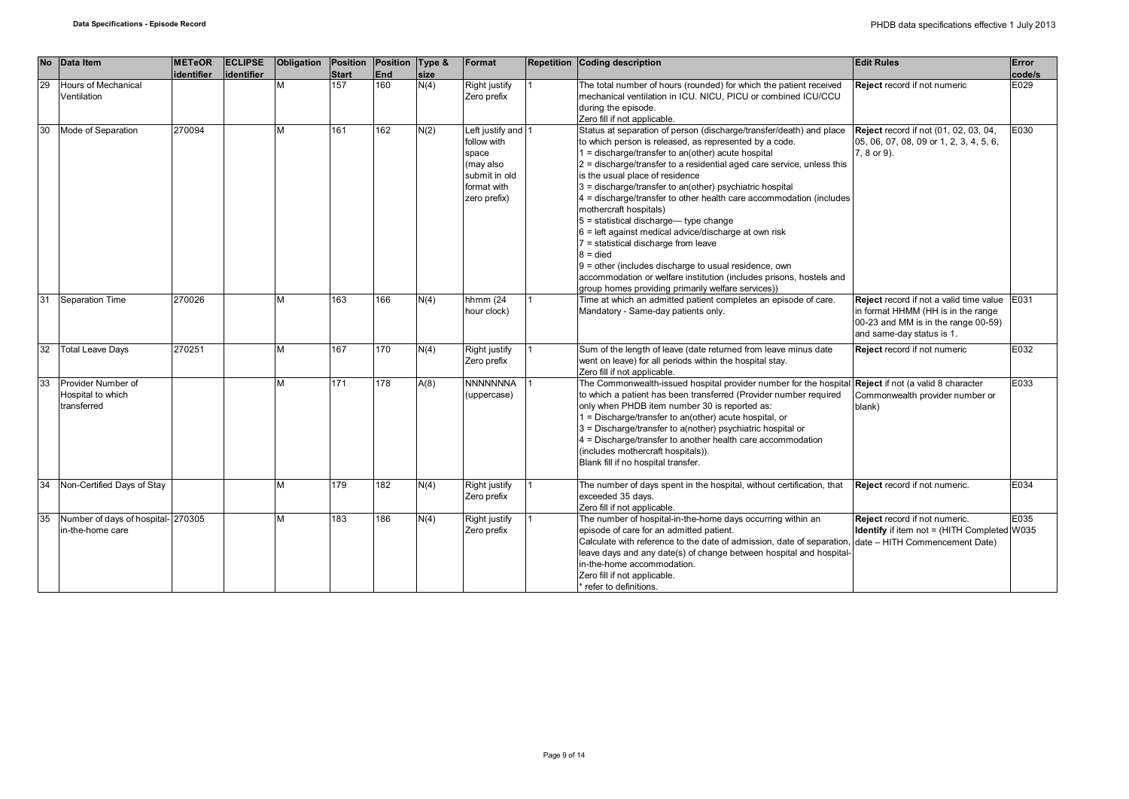| <b>No</b> | Data Item                                              | <b>METeOR</b><br>identifier | <b>ECLIPSE</b><br>identifier | Obligation | Position<br><b>Start</b> | Position Type &<br>End | size | Format                                                                                                  | <b>Repetition Coding description</b>                                                                                                                                                                                                                                                                                                                                                                                                                                                                                                                                                                                                                                                                                                                                                                                 | <b>Edit Rules</b>                                                                                                                                 | Error<br>code/s |
|-----------|--------------------------------------------------------|-----------------------------|------------------------------|------------|--------------------------|------------------------|------|---------------------------------------------------------------------------------------------------------|----------------------------------------------------------------------------------------------------------------------------------------------------------------------------------------------------------------------------------------------------------------------------------------------------------------------------------------------------------------------------------------------------------------------------------------------------------------------------------------------------------------------------------------------------------------------------------------------------------------------------------------------------------------------------------------------------------------------------------------------------------------------------------------------------------------------|---------------------------------------------------------------------------------------------------------------------------------------------------|-----------------|
| 29        | <b>Hours of Mechanical</b><br>Ventilation              |                             |                              | М          | 157                      | 160                    | N(4) | Right justify<br>Zero prefix                                                                            | The total number of hours (rounded) for which the patient received<br>mechanical ventilation in ICU. NICU, PICU or combined ICU/CCU<br>during the episode.<br>Zero fill if not applicable.                                                                                                                                                                                                                                                                                                                                                                                                                                                                                                                                                                                                                           | <b>Reject</b> record if not numeric                                                                                                               | E029            |
| 30        | Mode of Separation                                     | 270094                      |                              | м          | 161                      | 162                    | N(2) | Left justify and 1<br>follow with<br>space<br>(may also<br>submit in old<br>format with<br>zero prefix) | Status at separation of person (discharge/transfer/death) and place<br>to which person is released, as represented by a code.<br>$1 =$ discharge/transfer to an(other) acute hospital<br>2 = discharge/transfer to a residential aged care service, unless this<br>is the usual place of residence<br>3 = discharge/transfer to an(other) psychiatric hospital<br>4 = discharge/transfer to other health care accommodation (includes<br>mothercraft hospitals)<br>$5 =$ statistical discharge— type change<br>$6$ = left against medical advice/discharge at own risk<br>$7$ = statistical discharge from leave<br>$8 =$ died<br>9 = other (includes discharge to usual residence, own<br>accommodation or welfare institution (includes prisons, hostels and<br>group homes providing primarily welfare services)) | <b>Reject</b> record if not (01, 02, 03, 04,<br>05, 06, 07, 08, 09 or 1, 2, 3, 4, 5, 6,<br>7, 8 or 9).                                            | E030            |
| 31        | Separation Time                                        | 270026                      |                              |            | 163                      | 166                    | N(4) | hhmm (24<br>hour clock)                                                                                 | Time at which an admitted patient completes an episode of care.<br>Mandatory - Same-day patients only.                                                                                                                                                                                                                                                                                                                                                                                                                                                                                                                                                                                                                                                                                                               | Reject record if not a valid time value<br>in format HHMM (HH is in the range<br>00-23 and MM is in the range 00-59)<br>and same-day status is 1. | E031            |
| 32        | <b>Total Leave Days</b>                                | 270251                      |                              | м          | 167                      | 170                    | N(4) | Right justify<br>Zero prefix                                                                            | Sum of the length of leave (date returned from leave minus date<br>went on leave) for all periods within the hospital stay.<br>Zero fill if not applicable.                                                                                                                                                                                                                                                                                                                                                                                                                                                                                                                                                                                                                                                          | Reject record if not numeric                                                                                                                      | E032            |
| 33        | Provider Number of<br>Hospital to which<br>transferred |                             |                              | м          | 171                      | 178                    | A(8) | <b>NNNNNNNA</b><br>(uppercase)                                                                          | The Commonwealth-issued hospital provider number for the hospital Reject if not (a valid 8 character<br>to which a patient has been transferred (Provider number required<br>only when PHDB item number 30 is reported as:<br>1 = Discharge/transfer to an(other) acute hospital, or<br>3 = Discharge/transfer to a(nother) psychiatric hospital or<br>4 = Discharge/transfer to another health care accommodation<br>(includes mothercraft hospitals)).<br>Blank fill if no hospital transfer.                                                                                                                                                                                                                                                                                                                      | Commonwealth provider number or<br>blank)                                                                                                         | E033            |
| 34        | Non-Certified Days of Stay                             |                             |                              | м          | 179                      | 182                    | N(4) | Right justify<br>Zero prefix                                                                            | The number of days spent in the hospital, without certification, that<br>exceeded 35 days.<br>Zero fill if not applicable.                                                                                                                                                                                                                                                                                                                                                                                                                                                                                                                                                                                                                                                                                           | Reject record if not numeric.                                                                                                                     | E034            |
| 35        | Number of days of hospital- 270305<br>in-the-home care |                             |                              | м          | 183                      | 186                    | N(4) | Right justify<br>Zero prefix                                                                            | The number of hospital-in-the-home days occurring within an<br>episode of care for an admitted patient.<br>Calculate with reference to the date of admission, date of separation, date - HITH Commencement Date)<br>leave days and any date(s) of change between hospital and hospital-<br>in-the-home accommodation.<br>Zero fill if not applicable.<br>refer to definitions.                                                                                                                                                                                                                                                                                                                                                                                                                                       | Reject record if not numeric.<br><b>Identify</b> if item not = (HITH Completed W035                                                               | E035            |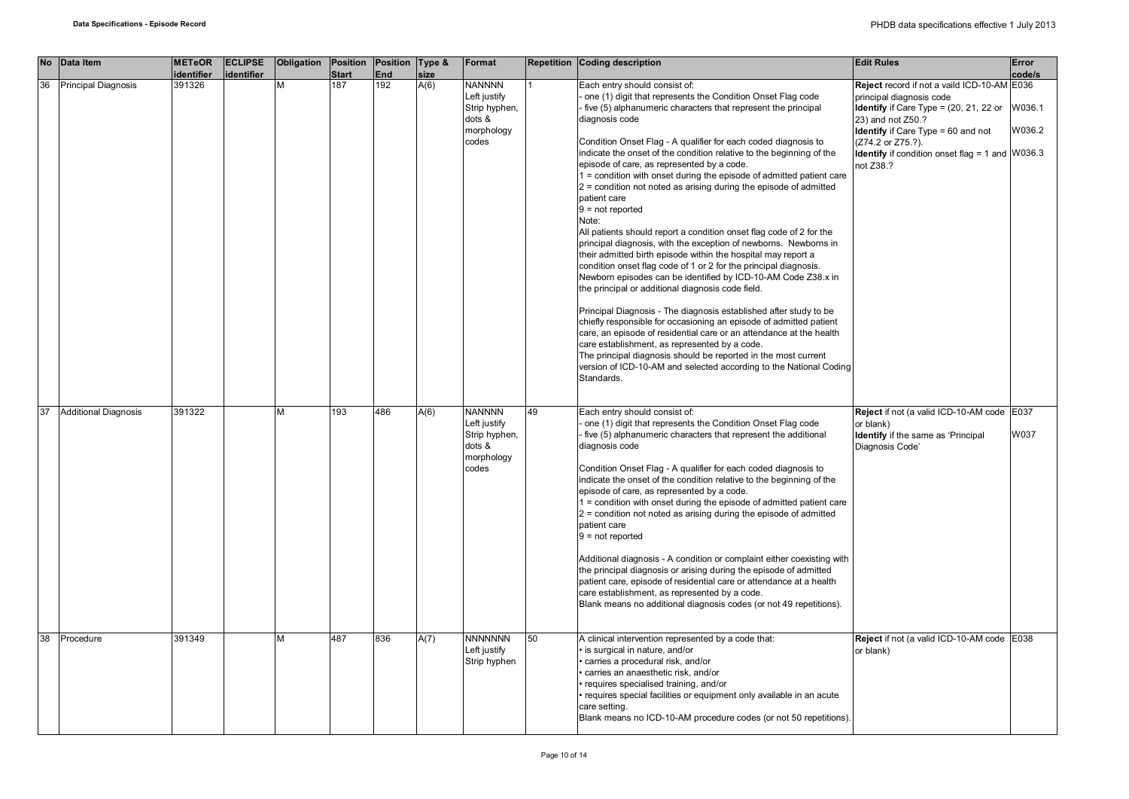| <b>No</b> | Data Item                   | <b>METeOR</b><br>identifier | <b>ECLIPSE</b><br><b>identifier</b> | Obligation | Position<br><b>Start</b> | Position Type &<br>End | size | Format                                                                          |    | Repetition Coding description                                                                                                                                                                                                                                                                                                                                                                                                                                                                                                                                                                                                                                                                                                                                                                                                                                                                                                                                                                                                                                                                                                                                                                                                                                                                                                                                                                          | <b>Edit Rules</b>                                                                                                                                                                                                                                                                           | Error<br>code/s  |
|-----------|-----------------------------|-----------------------------|-------------------------------------|------------|--------------------------|------------------------|------|---------------------------------------------------------------------------------|----|--------------------------------------------------------------------------------------------------------------------------------------------------------------------------------------------------------------------------------------------------------------------------------------------------------------------------------------------------------------------------------------------------------------------------------------------------------------------------------------------------------------------------------------------------------------------------------------------------------------------------------------------------------------------------------------------------------------------------------------------------------------------------------------------------------------------------------------------------------------------------------------------------------------------------------------------------------------------------------------------------------------------------------------------------------------------------------------------------------------------------------------------------------------------------------------------------------------------------------------------------------------------------------------------------------------------------------------------------------------------------------------------------------|---------------------------------------------------------------------------------------------------------------------------------------------------------------------------------------------------------------------------------------------------------------------------------------------|------------------|
| 36        | Principal Diagnosis         | 391326                      |                                     | М          | 187                      | 192                    | A(6) | <b>NANNNN</b><br>Left justify<br>Strip hyphen,<br>dots &<br>morphology<br>codes |    | Each entry should consist of:<br>one (1) digit that represents the Condition Onset Flag code<br>- five (5) alphanumeric characters that represent the principal<br>diagnosis code<br>Condition Onset Flag - A qualifier for each coded diagnosis to<br>indicate the onset of the condition relative to the beginning of the<br>episode of care, as represented by a code.<br>1 = condition with onset during the episode of admitted patient care<br>$2$ = condition not noted as arising during the episode of admitted<br>patient care<br>$9 = not reported$<br>Note:<br>All patients should report a condition onset flag code of 2 for the<br>principal diagnosis, with the exception of newborns. Newborns in<br>their admitted birth episode within the hospital may report a<br>condition onset flag code of 1 or 2 for the principal diagnosis.<br>Newborn episodes can be identified by ICD-10-AM Code Z38.x in<br>the principal or additional diagnosis code field.<br>Principal Diagnosis - The diagnosis established after study to be<br>chiefly responsible for occasioning an episode of admitted patient<br>care, an episode of residential care or an attendance at the health<br>care establishment, as represented by a code.<br>The principal diagnosis should be reported in the most current<br>version of ICD-10-AM and selected according to the National Coding<br>Standards. | Reject record if not a vaild ICD-10-AM E036<br>principal diagnosis code<br><b>Identify</b> if Care Type = $(20, 21, 22)$ or<br>23) and not Z50.?<br><b>Identify</b> if Care Type = 60 and not<br>(Z74.2 or Z75.?).<br><b>Identify</b> if condition onset flag = 1 and $W036.3$<br>not Z38.? | W036.1<br>W036.2 |
| 37        | <b>Additional Diagnosis</b> | 391322                      |                                     | м          | 193                      | 486                    | A(6) | <b>NANNNN</b><br>Left justify<br>Strip hyphen,<br>dots &<br>morphology<br>codes | 49 | Each entry should consist of:<br>one (1) digit that represents the Condition Onset Flag code<br>five (5) alphanumeric characters that represent the additional<br>diagnosis code<br>Condition Onset Flag - A qualifier for each coded diagnosis to<br>indicate the onset of the condition relative to the beginning of the<br>episode of care, as represented by a code.<br>1 = condition with onset during the episode of admitted patient care<br>$2$ = condition not noted as arising during the episode of admitted<br>patient care<br>$9 = not reported$<br>Additional diagnosis - A condition or complaint either coexisting with<br>the principal diagnosis or arising during the episode of admitted<br>patient care, episode of residential care or attendance at a health<br>care establishment, as represented by a code.<br>Blank means no additional diagnosis codes (or not 49 repetitions).                                                                                                                                                                                                                                                                                                                                                                                                                                                                                             | Reject if not (a valid ICD-10-AM code E037<br>or blank)<br>Identify if the same as 'Principal<br>Diagnosis Code'                                                                                                                                                                            | W037             |
| 38        | Procedure                   | 391349                      |                                     | М          | 487                      | 836                    | A(7) | <b>NNNNNNN</b><br>Left justify<br>Strip hyphen                                  | 50 | A clinical intervention represented by a code that:<br>· is surgical in nature, and/or<br>· carries a procedural risk, and/or<br>carries an anaesthetic risk, and/or<br>· requires specialised training, and/or<br>· requires special facilities or equipment only available in an acute<br>care setting.<br>Blank means no ICD-10-AM procedure codes (or not 50 repetitions).                                                                                                                                                                                                                                                                                                                                                                                                                                                                                                                                                                                                                                                                                                                                                                                                                                                                                                                                                                                                                         | Reject if not (a valid ICD-10-AM code E038<br>or blank)                                                                                                                                                                                                                                     |                  |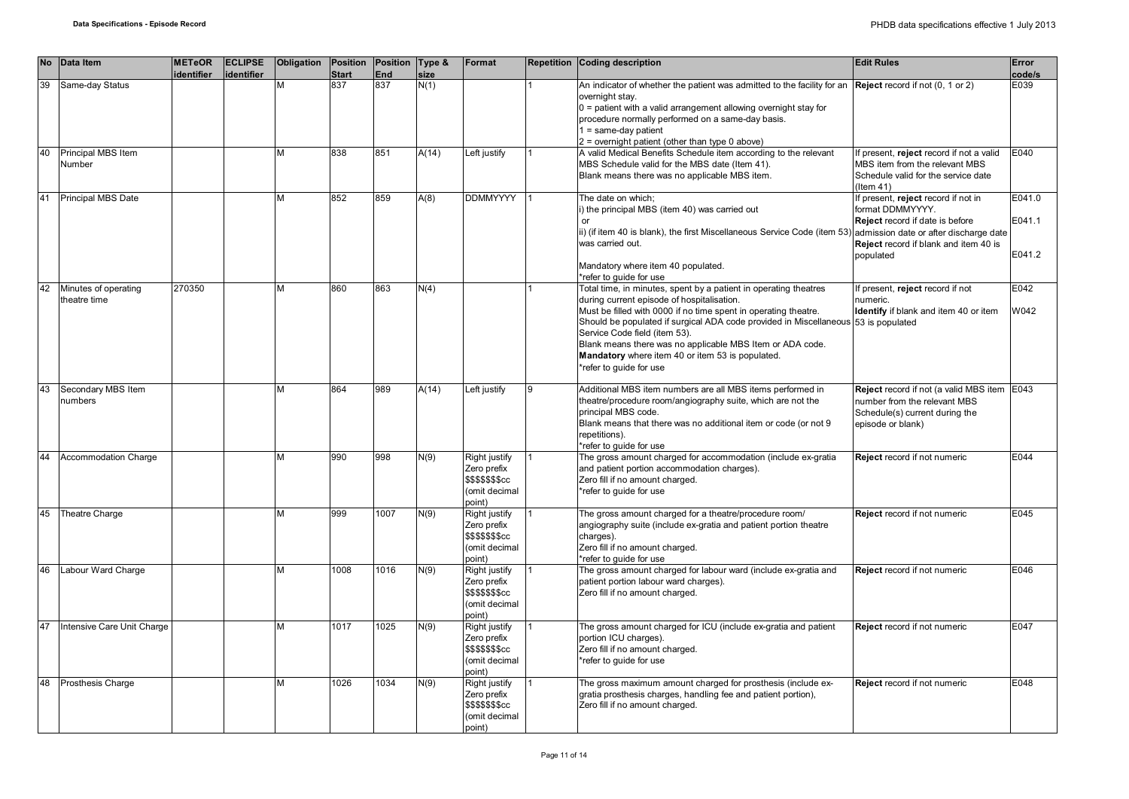| <b>No</b> | Data Item                            | <b>METeOR</b> | <b>ECLIPSE</b> | Obligation | Position     | Position Type & |       | Format                                                                             |   | <b>Repetition Coding description</b>                                                                                                                                                                                                                                                                                                                                                                                                                                            | <b>Edit Rules</b>                                                                                                                                | Error                      |
|-----------|--------------------------------------|---------------|----------------|------------|--------------|-----------------|-------|------------------------------------------------------------------------------------|---|---------------------------------------------------------------------------------------------------------------------------------------------------------------------------------------------------------------------------------------------------------------------------------------------------------------------------------------------------------------------------------------------------------------------------------------------------------------------------------|--------------------------------------------------------------------------------------------------------------------------------------------------|----------------------------|
|           |                                      | identifier    | identifier     |            | <b>Start</b> | <b>End</b>      | size  |                                                                                    |   |                                                                                                                                                                                                                                                                                                                                                                                                                                                                                 |                                                                                                                                                  | code/s                     |
| 39        | Same-day Status                      |               |                | М          | 837          | 837             | N(1)  |                                                                                    |   | An indicator of whether the patient was admitted to the facility for an <b>Reject</b> record if not $(0, 1 \text{ or } 2)$<br>overnight stay.<br>$0$ = patient with a valid arrangement allowing overnight stay for<br>procedure normally performed on a same-day basis.<br>$1 = same-day patient$                                                                                                                                                                              |                                                                                                                                                  | E039                       |
| 40        | Principal MBS Item<br>Number         |               |                | M          | 838          | 851             | A(14) | Left justify                                                                       |   | $2$ = overnight patient (other than type 0 above)<br>A valid Medical Benefits Schedule item according to the relevant<br>MBS Schedule valid for the MBS date (Item 41).<br>Blank means there was no applicable MBS item.                                                                                                                                                                                                                                                        | If present, reject record if not a valid<br>MBS item from the relevant MBS<br>Schedule valid for the service date<br>$($ ltem 41)                | E040                       |
| 41        | <b>Principal MBS Date</b>            |               |                | M          | 852          | 859             | A(8)  | <b>DDMMYYYY</b>                                                                    |   | The date on which;<br>i) the principal MBS (item 40) was carried out<br>or<br>ii) (if item 40 is blank), the first Miscellaneous Service Code (item 53) admission date or after discharge date<br>was carried out.<br>Mandatory where item 40 populated.                                                                                                                                                                                                                        | If present, reject record if not in<br>format DDMMYYYY.<br>Reject record if date is before<br>Reject record if blank and item 40 is<br>populated | E041.0<br>E041.1<br>E041.2 |
| 42        | Minutes of operating<br>theatre time | 270350        |                | M          | 860          | 863             | N(4)  |                                                                                    |   | *refer to guide for use<br>Total time, in minutes, spent by a patient in operating theatres<br>during current episode of hospitalisation.<br>Must be filled with 0000 if no time spent in operating theatre.<br>Should be populated if surgical ADA code provided in Miscellaneous 53 is populated<br>Service Code field (item 53).<br>Blank means there was no applicable MBS Item or ADA code.<br>Mandatory where item 40 or item 53 is populated.<br>*refer to guide for use | If present, reject record if not<br>numeric.<br>Identify if blank and item 40 or item                                                            | E042<br>W042               |
| 43        | Secondary MBS Item<br>numbers        |               |                | M          | 864          | 989             | A(14) | Left justify                                                                       | 9 | Additional MBS item numbers are all MBS items performed in<br>theatre/procedure room/angiography suite, which are not the<br>principal MBS code.<br>Blank means that there was no additional item or code (or not 9<br>repetitions).<br>*refer to guide for use                                                                                                                                                                                                                 | Reject record if not (a valid MBS item E043<br>number from the relevant MBS<br>Schedule(s) current during the<br>episode or blank)               |                            |
| 44        | Accommodation Charge                 |               |                | M          | 990          | 998             | N(9)  | <b>Right justify</b><br>Zero prefix<br>\$\$\$\$\$\$\$cc<br>(omit decimal<br>point) |   | The gross amount charged for accommodation (include ex-gratia<br>and patient portion accommodation charges).<br>Zero fill if no amount charged.<br>*refer to quide for use                                                                                                                                                                                                                                                                                                      | Reject record if not numeric                                                                                                                     | E044                       |
| 45        | Theatre Charge                       |               |                | M          | 999          | 1007            | N(9)  | Right justify<br>Zero prefix<br>\$\$\$\$\$\$\$cc<br>(omit decimal<br>point)        |   | The gross amount charged for a theatre/procedure room/<br>angiography suite (include ex-gratia and patient portion theatre<br>charges).<br>Zero fill if no amount charged.<br>*refer to quide for use                                                                                                                                                                                                                                                                           | Reject record if not numeric                                                                                                                     | E045                       |
| 46        | Labour Ward Charge                   |               |                | M          | 1008         | 1016            | N(9)  | Right justify<br>Zero prefix<br><b>\$\$\$\$\$\$\$cc</b><br>(omit decimal<br>point) |   | The gross amount charged for labour ward (include ex-gratia and<br>patient portion labour ward charges).<br>Zero fill if no amount charged.                                                                                                                                                                                                                                                                                                                                     | <b>Reject</b> record if not numeric                                                                                                              | E046                       |
| 47        | Intensive Care Unit Charge           |               |                | M          | 1017         | 1025            | N(9)  | Right justify<br>Zero prefix<br><b>\$\$\$\$\$\$\$cc</b><br>(omit decimal<br>point) |   | The gross amount charged for ICU (include ex-gratia and patient<br>portion ICU charges).<br>Zero fill if no amount charged.<br>*refer to quide for use                                                                                                                                                                                                                                                                                                                          | Reject record if not numeric                                                                                                                     | E047                       |
| 48        | Prosthesis Charge                    |               |                | M          | 1026         | 1034            | N(9)  | Right justify<br>Zero prefix<br><b>\$\$\$\$\$\$\$cc</b><br>(omit decimal<br>point) |   | The gross maximum amount charged for prosthesis (include ex-<br>gratia prosthesis charges, handling fee and patient portion),<br>Zero fill if no amount charged.                                                                                                                                                                                                                                                                                                                | Reject record if not numeric                                                                                                                     | E048                       |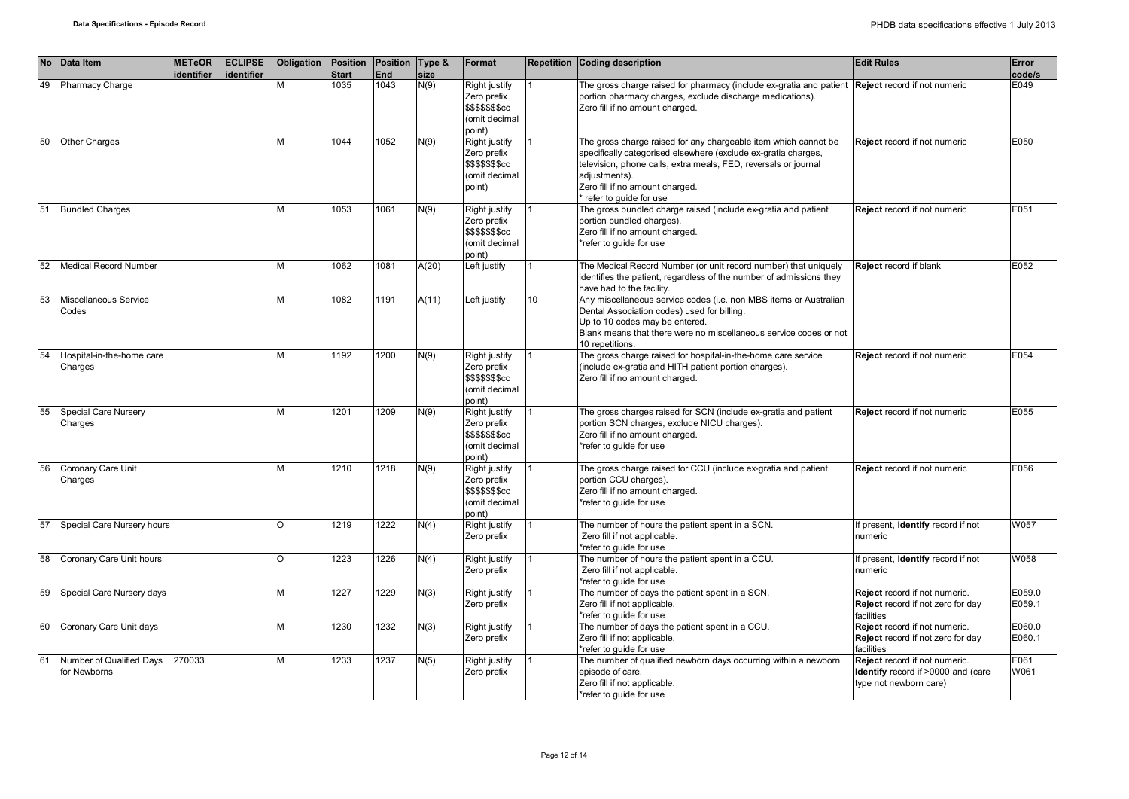|    | No Data Item                             | <b>METeOR</b><br>identifier | <b>ECLIPSE</b><br>identifier | Obligation | <b>Position</b><br><b>Start</b> | Position Type &<br>End | size  | Format                                                                             |    | Repetition Coding description                                                                                                                                                                                                                                                        | <b>Edit Rules</b>                                                                             | Error<br>code/s  |
|----|------------------------------------------|-----------------------------|------------------------------|------------|---------------------------------|------------------------|-------|------------------------------------------------------------------------------------|----|--------------------------------------------------------------------------------------------------------------------------------------------------------------------------------------------------------------------------------------------------------------------------------------|-----------------------------------------------------------------------------------------------|------------------|
| 49 | <b>Pharmacy Charge</b>                   |                             |                              | М          | 1035                            | 1043                   | N(9)  | Right justify<br>Zero prefix<br>\$\$\$\$\$\$\$cc<br>(omit decimal<br>point)        |    | The gross charge raised for pharmacy (include ex-gratia and patient Reject record if not numeric<br>portion pharmacy charges, exclude discharge medications).<br>Zero fill if no amount charged.                                                                                     |                                                                                               | E049             |
| 50 | <b>Other Charges</b>                     |                             |                              | м          | 1044                            | 1052                   | N(9)  | Right justify<br>Zero prefix<br>\$\$\$\$\$\$\$cc<br>(omit decimal<br>point)        |    | The gross charge raised for any chargeable item which cannot be<br>specifically categorised elsewhere (exclude ex-gratia charges,<br>television, phone calls, extra meals, FED, reversals or journal<br>adjustments).<br>Zero fill if no amount charged.<br>* refer to guide for use | <b>Reject</b> record if not numeric                                                           | E050             |
| 51 | <b>Bundled Charges</b>                   |                             |                              | м          | 1053                            | 1061                   | N(9)  | Right justify<br>Zero prefix<br><b>\$\$\$\$\$\$\$cc</b><br>(omit decimal<br>point) |    | The gross bundled charge raised (include ex-gratia and patient<br>portion bundled charges).<br>Zero fill if no amount charged.<br>*refer to quide for use                                                                                                                            | <b>Reject</b> record if not numeric                                                           | E051             |
| 52 | <b>Medical Record Number</b>             |                             |                              | М          | 1062                            | 1081                   | A(20) | Left justify                                                                       |    | The Medical Record Number (or unit record number) that uniquely<br>identifies the patient, regardless of the number of admissions they<br>have had to the facility.                                                                                                                  | <b>Reject</b> record if blank                                                                 | E052             |
| 53 | Miscellaneous Service<br>Codes           |                             |                              | М          | 1082                            | 1191                   | A(11) | Left justify                                                                       | 10 | Any miscellaneous service codes (i.e. non MBS items or Australian<br>Dental Association codes) used for billing.<br>Up to 10 codes may be entered.<br>Blank means that there were no miscellaneous service codes or not<br>10 repetitions.                                           |                                                                                               |                  |
| 54 | Hospital-in-the-home care<br>Charges     |                             |                              | м          | 1192                            | 1200                   | N(9)  | Right justify<br>Zero prefix<br><b>\$\$\$\$\$\$\$cc</b><br>(omit decimal<br>point) |    | The gross charge raised for hospital-in-the-home care service<br>(include ex-gratia and HITH patient portion charges).<br>Zero fill if no amount charged.                                                                                                                            | Reject record if not numeric                                                                  | E054             |
| 55 | Special Care Nursery<br>Charges          |                             |                              | М          | 1201                            | 1209                   | N(9)  | Right justify<br>Zero prefix<br><b>\$\$\$\$\$\$\$cc</b><br>(omit decimal<br>(point |    | The gross charges raised for SCN (include ex-gratia and patient<br>portion SCN charges, exclude NICU charges).<br>Zero fill if no amount charged.<br>*refer to quide for use                                                                                                         | Reject record if not numeric                                                                  | E055             |
| 56 | Coronary Care Unit<br>Charges            |                             |                              | м          | 1210                            | 1218                   | N(9)  | Right justify<br>Zero prefix<br><b>\$\$\$\$\$\$\$cc</b><br>(omit decimal<br>point) |    | The gross charge raised for CCU (include ex-gratia and patient<br>portion CCU charges).<br>Zero fill if no amount charged.<br>*refer to quide for use                                                                                                                                | Reject record if not numeric                                                                  | E056             |
| 57 | Special Care Nursery hours               |                             |                              | O          | 1219                            | 1222                   | N(4)  | Right justify<br>Zero prefix                                                       |    | The number of hours the patient spent in a SCN.<br>Zero fill if not applicable.<br>*refer to guide for use                                                                                                                                                                           | If present, identify record if not<br>numeric                                                 | W057             |
| 58 | Coronary Care Unit hours                 |                             |                              | O          | 1223                            | 1226                   | N(4)  | Right justify<br>Zero prefix                                                       |    | The number of hours the patient spent in a CCU.<br>Zero fill if not applicable.<br>*refer to guide for use                                                                                                                                                                           | If present, identify record if not<br>numeric                                                 | W058             |
| 59 | Special Care Nursery days                |                             |                              | М          | 1227                            | 1229                   | N(3)  | Right justify<br>Zero prefix                                                       |    | The number of days the patient spent in a SCN.<br>Zero fill if not applicable.<br>*refer to guide for use                                                                                                                                                                            | Reject record if not numeric.<br>Reject record if not zero for day<br>facilities              | E059.0<br>E059.1 |
| 60 | Coronary Care Unit days                  |                             |                              | М          | 1230                            | 1232                   | N(3)  | Right justify<br>Zero prefix                                                       |    | The number of days the patient spent in a CCU.<br>Zero fill if not applicable.<br>refer to quide for use                                                                                                                                                                             | Reject record if not numeric.<br>Reject record if not zero for day<br>facilities              | E060.0<br>E060.1 |
| 61 | Number of Qualified Days<br>for Newborns | 270033                      |                              | м          | 1233                            | 1237                   | N(5)  | Right justify<br>Zero prefix                                                       |    | The number of qualified newborn days occurring within a newborn<br>episode of care.<br>Zero fill if not applicable.<br>*refer to guide for use                                                                                                                                       | Reject record if not numeric.<br>Identify record if >0000 and (care<br>type not newborn care) | E061<br>W061     |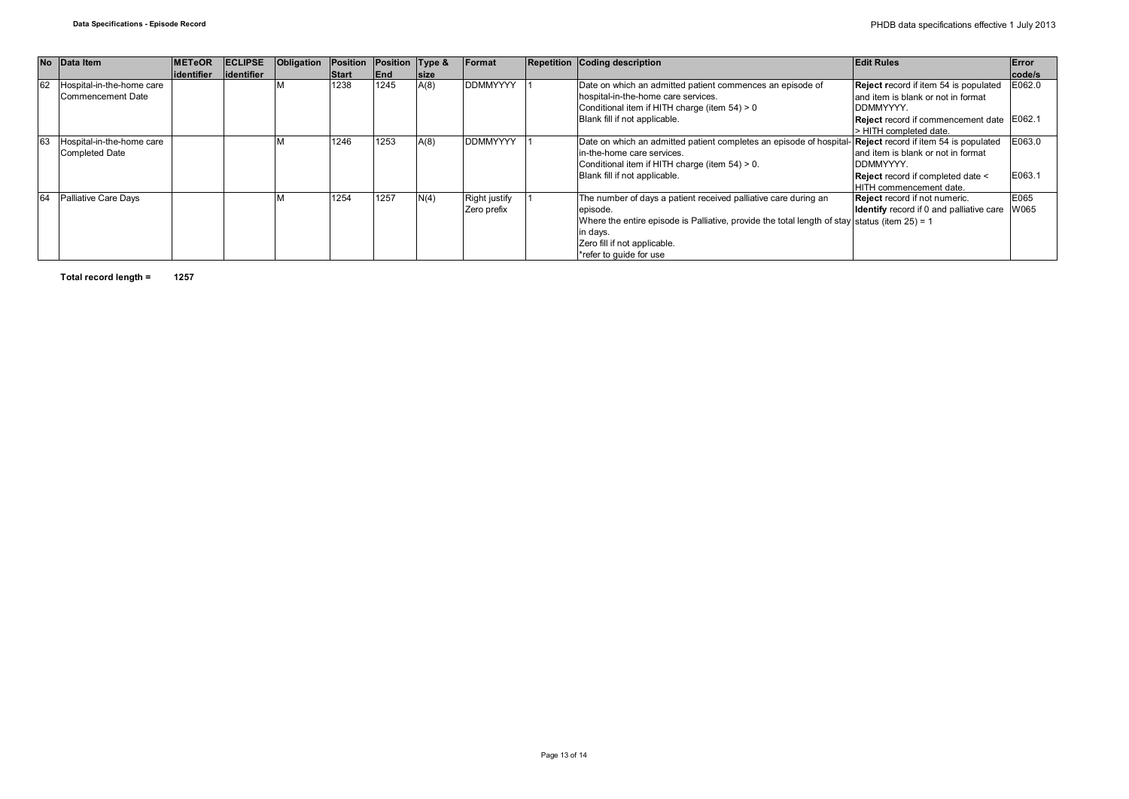|    | No Data Item              | <b>IMETeOR</b> | <b>ECLIPSE</b> | Obligation | Position     | Position Type & |             | Format               | <b>Repetition Coding description</b>                                                                             | <b>Edit Rules</b>                                    | Error  |
|----|---------------------------|----------------|----------------|------------|--------------|-----------------|-------------|----------------------|------------------------------------------------------------------------------------------------------------------|------------------------------------------------------|--------|
|    |                           | lidentifier    | lidentifier    |            | <b>Start</b> | <b>IEnd</b>     | <b>Size</b> |                      |                                                                                                                  |                                                      | code/s |
| 62 | Hospital-in-the-home care |                |                |            | 1238         | 1245            | A(8)        | <b>DDMMYYYY</b>      | Date on which an admitted patient commences an episode of                                                        | Reject record if item 54 is populated                | E062.0 |
|    | Commencement Date         |                |                |            |              |                 |             |                      | hospital-in-the-home care services.                                                                              | land item is blank or not in format                  |        |
|    |                           |                |                |            |              |                 |             |                      | Conditional item if HITH charge (item 54) > 0                                                                    | DDMMYYYY.                                            |        |
|    |                           |                |                |            |              |                 |             |                      | Blank fill if not applicable.                                                                                    | Reject record if commencement date E062.1            |        |
|    |                           |                |                |            |              |                 |             |                      |                                                                                                                  | > HITH completed date.                               |        |
| 63 | Hospital-in-the-home care |                |                |            | 1246         | 1253            | A(8)        | <b>DDMMYYYY</b>      | Date on which an admitted patient completes an episode of hospital- <b>Reject</b> record if item 54 is populated |                                                      | E063.0 |
|    | Completed Date            |                |                |            |              |                 |             |                      | in-the-home care services.                                                                                       | land item is blank or not in format                  |        |
|    |                           |                |                |            |              |                 |             |                      | Conditional item if HITH charge (item 54) > 0.                                                                   | DDMMYYYY.                                            |        |
|    |                           |                |                |            |              |                 |             |                      | Blank fill if not applicable.                                                                                    | Reject record if completed date <                    | E063.1 |
|    |                           |                |                |            |              |                 |             |                      |                                                                                                                  | <b>HITH</b> commencement date.                       |        |
| 64 | Palliative Care Days      |                |                |            | 1254         | 1257            | N(4)        | <b>Right justify</b> | The number of days a patient received palliative care during an                                                  | Reject record if not numeric.                        | E065   |
|    |                           |                |                |            |              |                 |             | Zero prefix          | episode.                                                                                                         | <b>Identify</b> record if 0 and palliative care W065 |        |
|    |                           |                |                |            |              |                 |             |                      | Where the entire episode is Palliative, provide the total length of stay status (item $25$ ) = 1                 |                                                      |        |
|    |                           |                |                |            |              |                 |             |                      | in days.                                                                                                         |                                                      |        |
|    |                           |                |                |            |              |                 |             |                      | Zero fill if not applicable.                                                                                     |                                                      |        |
|    |                           |                |                |            |              |                 |             |                      | *refer to quide for use                                                                                          |                                                      |        |

**Total record length = 1257**